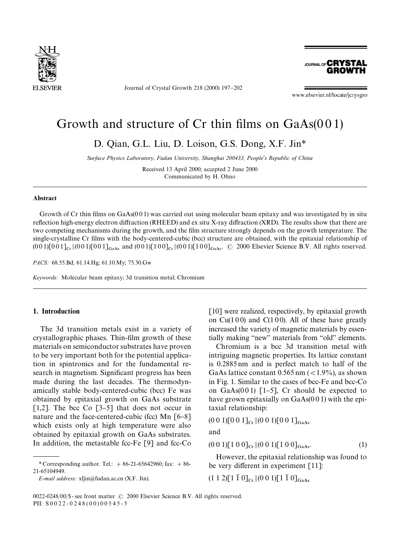

Journal of Crystal Growth 218 (2000) 197-202

**JOURNAL OF CRYSTAL GROWTH** 

www.elsevier.nl/locate/jcrysgro

# Growth and structure of  $Cr$  thin films on  $GaAs(001)$

D. Qian, G.L. Liu, D. Loison, G.S. Dong, X.F. Jin*\**

*Surface Physics Laboratory, Fudan University, Shanghai 200433, People*'*s Republic of China*

Received 13 April 2000; accepted 2 June 2000 Communicated by H. Ohno

#### Abstract

Growth of Cr thin films on  $GaAs(001)$  was carried out using molecular beam epitaxy and was investigated by in situ reflection high-energy electron diffraction (RHEED) and ex situ X-ray diffraction (XRD). The results show that there are two competing mechanisms during the growth, and the film structure strongly depends on the growth temperature. The single-crystalline Cr films with the body-centered-cubic (bcc) structure are obtained, with the epitaxial relationship of  $(0\,0\,1)[0\,0\,1]_{Cr}$   $|(0\,0\,1)[0\,0\,1]_{GaAs}$  and  $(0\,0\,1)[1\,0\,0]_{Cr}$   $|(0\,0\,1)[1\,0\,0]_{GaAs}$ .  $\odot$  2000 Elsevier Science B.V. All rights reserved.

*PACS:* 68.55.Bd; 61.14.Hg; 61.10.My; 75.30.Gw

*Keywords:* Molecular beam epitaxy; 3d transition metal; Chromium

## 1. Introduction

The 3d transition metals exist in a variety of crystallographic phases. Thin-film growth of these materials on semiconductor substrates have proven to be very important both for the potential application in spintronics and for the fundamental research in magnetism. Significant progress has been made during the last decades. The thermodynamically stable body-centered-cubic (bcc) Fe was obtained by epitaxial growth on GaAs substrate [1,2]. The bcc Co  $[3-5]$  that does not occur in nature and the face-centered-cubic (fcc) Mn  $\lceil 6-8 \rceil$ which exists only at high temperature were also obtained by epitaxial growth on GaAs substrates. In addition, the metastable fcc-Fe  $[9]$  and fcc-Co

*E-mail address:* xfjin@fudan.ac.cn (X.F. Jin).

[10] were realized, respectively, by epitaxial growth on  $Cu(100)$  and  $C(100)$ . All of these have greatly increased the variety of magnetic materials by essentially making "new" materials from "old" elements.

Chromium is a bcc 3d transition metal with intriguing magnetic properties. Its lattice constant is 0.2885 nm and is perfect match to half of the GaAs lattice constant  $0.565$  nm ( $\lt 1.9\%$ ), as shown in Fig. 1. Similar to the cases of bcc-Fe and bcc-Co on  $GaAs(001)$  [1-5], Cr should be expected to have grown epitaxially on GaAs(0 0 1) with the epitaxial relationship:

 $(0\ 0\ 1)$ [0 0 1]<sub>Cr</sub> || $(0\ 0\ 1)$ [0 0 1]<sub>GaAs</sub>

and

 $(0\ 0\ 1)$ [1 0 0]<sub>Cr</sub> || $(0\ 0\ 1)$ [1 0 0]<sub>GaAs</sub> . (1)

However, the epitaxial relationship was found to be very different in experiment  $[11]$ :

 $(1\ 1\ 2)$ [1  $\overline{1}$  0]<sub>Cr</sub> || $(0\ 0\ 1)$ [1  $\overline{1}$  0]<sub>GaAs</sub>

<sup>\*</sup> Corresponding author. Tel.:  $+86-21-65642960$ ; fax:  $+86-$ 21-65104949.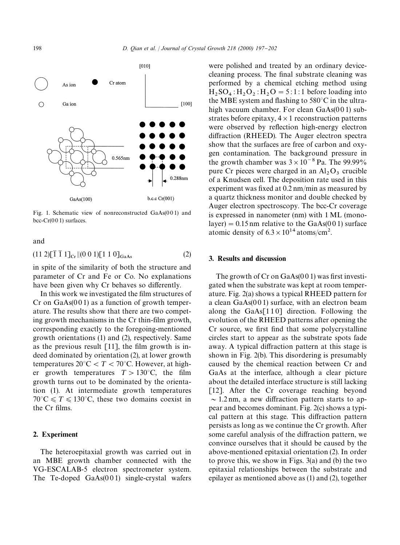

Fig. 1. Schematic view of nonreconstructed GaAs(001) and bcc-Cr(001) surfaces.

and

$$
(11\ 2)[\overline{1}\ \overline{1}\ 1]_{Cr} \|(0\ 0\ 1)[1\ 1\ 0]_{GaAs} \tag{2}
$$

in spite of the similarity of both the structure and parameter of Cr and Fe or Co. No explanations have been given why Cr behaves so differently.

In this work we investigated the film structures of Cr on  $GaAs(001)$  as a function of growth temperature. The results show that there are two competing growth mechanisms in the Cr thin-film growth, corresponding exactly to the foregoing-mentioned growth orientations (1) and (2), respectively. Same as the previous result  $[11]$ , the film growth is indeed dominated by orientation (2), at lower growth temperatures  $20^{\circ}$ C < T < 70°C. However, at higher growth temperatures  $T > 130^{\circ}$ C, the film growth turns out to be dominated by the orientation (1). At intermediate growth temperatures  $70^{\circ}$ C  $\leq T \leq 130^{\circ}$ C, these two domains coexist in the Cr films.

#### 2. Experiment

The heteroepitaxial growth was carried out in an MBE growth chamber connected with the VG-ESCALAB-5 electron spectrometer system. The Te-doped  $GaAs(001)$  single-crystal wafers

were polished and treated by an ordinary devicecleaning process. The final substrate cleaning was performed by a chemical etching method using  $H_2$  SO<sub>4</sub> :  $H_2$ O<sub>2</sub> :  $H_2$ O = 5:1:1 before loading into the MBE system and flashing to  $580^{\circ}$ C in the ultrahigh vacuum chamber. For clean GaAs(001) substrates before epitaxy,  $4 \times 1$  reconstruction patterns were observed by reflection high-energy electron diffraction (RHEED). The Auger electron spectra show that the surfaces are free of carbon and oxygen contamination. The background pressure in the growth chamber was  $3 \times 10^{-8}$  Pa. The 99.99% pure Cr pieces were charged in an  $Al_2O_3$  crucible of a Knudsen cell. The deposition rate used in this experiment was fixed at  $0.2$  nm/min as measured by a quartz thickness monitor and double checked by Auger electron spectroscopy. The bcc-Cr coverage is expressed in nanometer (nm) with 1 ML (monolayer)  $= 0.15$  nm relative to the GaAs(00 1) surface atomic density of  $6.3 \times 10^{14}$  atoms/cm<sup>2</sup>.

#### 3. Results and discussion

The growth of  $Cr$  on  $GaAs(001)$  was first investigated when the substrate was kept at room temperature. Fig. 2(a) shows a typical RHEED pattern for a clean GaAs(0 0 1) surface, with an electron beam along the  $GaAs[110]$  direction. Following the evolution of the RHEED patterns after opening the Cr source, we first find that some polycrystalline circles start to appear as the substrate spots fade away. A typical diffraction pattern at this stage is shown in Fig. 2(b). This disordering is presumably caused by the chemical reaction between Cr and GaAs at the interface, although a clear picture about the detailed interface structure is still lacking [12]. After the Cr coverage reaching beyond  $\sim$  1.2 nm, a new diffraction pattern starts to appear and becomes dominant. Fig. 2(c) shows a typical pattern at this stage. This diffraction pattern persists as long as we continue the Cr growth. After some careful analysis of the diffraction pattern, we convince ourselves that it should be caused by the above-mentioned epitaxial orientation (2). In order to prove this, we show in Figs. 3(a) and (b) the two epitaxial relationships between the substrate and epilayer as mentioned above as (1) and (2), together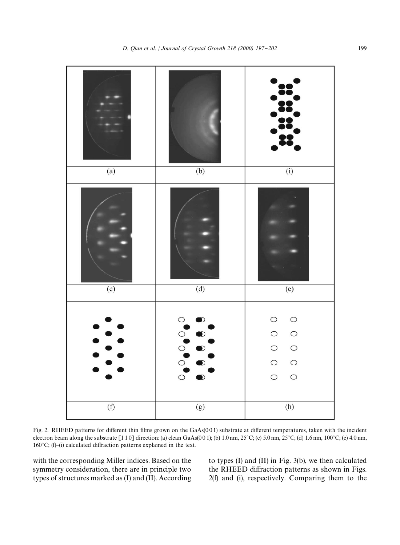

Fig. 2. RHEED patterns for different thin films grown on the GaAs(001) substrate at different temperatures, taken with the incident electron beam along the substrate  $[1 1 0]$  direction: (a) clean GaAs(00 1); (b) 1.0 nm, 25°C; (c) 5.0 nm, 25°C; (d) 1.6 nm, 100°C; (e) 4.0 nm, 160 $^{\circ}$ C; (f)-(i) calculated diffraction patterns explained in the text.

with the corresponding Miller indices. Based on the symmetry consideration, there are in principle two types of structures marked as (I) and (II). According to types (I) and (II) in Fig. 3(b), we then calculated the RHEED diffraction patterns as shown in Figs. 2(f) and (i), respectively. Comparing them to the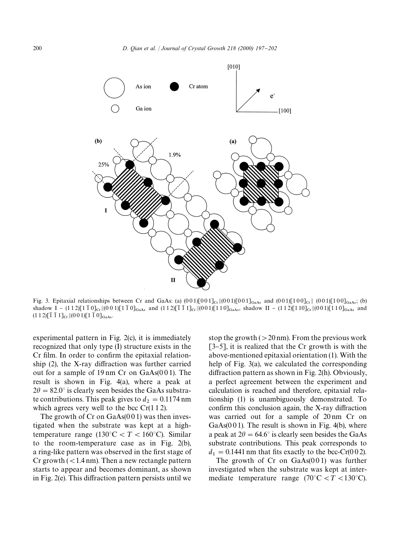

Fig. 3. Epitaxial relationships between Cr and GaAs: (a)  $(001)[001]_{Gr}[(001)[001]_{GaAs}$  and  $(001)[100]_{Cr}[(001)[100]_{GaAs}$ ; (b) shadow I – (112)[1  $\overline{10}]_{C}$  ||(0 0 1)[1  $\overline{1}$  0]<sub>GaAs</sub> and (112)[ $\overline{1}$   $\overline{1}$  1]<sub>Cr</sub> ||(001)[110]<sub>GaAs</sub>, shadow II – (112)[110]<sub>Gr</sub> ||(001)[110]<sub>GaAs</sub> and  $(1\ 1\ 2)$ [ $\overline{1}$   $\overline{1}$   $1$ ]<sub>Cr</sub> $\|(0\ 0\ 1)$ [ $\overline{1}$   $\overline{0}$ ]<sub>GaAs</sub>.

experimental pattern in Fig. 2(c), it is immediately recognized that only type (I) structure exists in the Cr film. In order to confirm the epitaxial relation $ship$  (2), the X-ray diffraction was further carried out for a sample of 19 nm Cr on GaAs(0 0 1). The result is shown in Fig. 4(a), where a peak at  $2\theta = 82.0^{\circ}$  is clearly seen besides the GaAs substrate contributions. This peak gives to  $d_2 = 0.1174$  nm which agrees very well to the bcc  $Cr(112)$ .

The growth of  $Cr$  on  $GaAs(001)$  was then investigated when the substrate was kept at a hightemperature range  $(130^{\circ}C < T < 160^{\circ}C)$ . Similar to the room-temperature case as in Fig. 2(b), a ring-like pattern was observed in the first stage of Cr growth  $(< 1.4$  nm). Then a new rectangle pattern starts to appear and becomes dominant, as shown in Fig.  $2(e)$ . This diffraction pattern persists until we

stop the growth  $(>20 \text{ nm})$ . From the previous work  $[3-5]$ , it is realized that the Cr growth is with the above-mentioned epitaxial orientation (1). With the help of Fig. 3(a), we calculated the corresponding diffraction pattern as shown in Fig.  $2(h)$ . Obviously, a perfect agreement between the experiment and calculation is reached and therefore, epitaxial relationship (1) is unambiguously demonstrated. To confirm this conclusion again, the  $X$ -ray diffraction was carried out for a sample of 20 nm Cr on  $GaAs(001)$ . The result is shown in Fig. 4(b), where a peak at  $2\theta = 64.6^{\circ}$  is clearly seen besides the GaAs substrate contributions. This peak corresponds to  $d_1 = 0.1441$  nm that fits exactly to the bcc-Cr(0 0 2).

The growth of  $Cr$  on  $GaAs(001)$  was further investigated when the substrate was kept at intermediate temperature range  $(70^{\circ} \text{C} < T < 130^{\circ} \text{C})$ .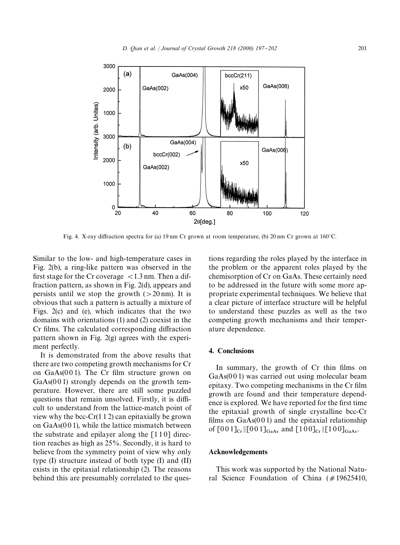

Fig. 4. X-ray diffraction spectra for (a) 19 nm Cr grown at room temperature, (b) 20 nm Cr grown at  $160^{\circ}$ C.

Similar to the low- and high-temperature cases in Fig. 2(b), a ring-like pattern was observed in the first stage for the Cr coverage  $\langle 1.3 \text{ nm} \rangle$ . Then a diffraction pattern, as shown in Fig. 2(d), appears and persists until we stop the growth  $(>20 \text{ nm})$ . It is obvious that such a pattern is actually a mixture of Figs. 2(c) and (e), which indicates that the two domains with orientations (1) and (2) coexist in the Cr films. The calculated corresponding diffraction pattern shown in Fig. 2(g) agrees with the experiment perfectly.

It is demonstrated from the above results that there are two competing growth mechanisms for Cr on  $GaAs(001)$ . The Cr film structure grown on  $GaAs(001)$  strongly depends on the growth temperature. However, there are still some puzzled questions that remain unsolved. Firstly, it is difficult to understand from the lattice-match point of view why the bcc- $Cr(1 1 2)$  can epitaxially be grown on GaAs(0 0 1), while the lattice mismatch between the substrate and epilayer along the  $\lceil 110 \rceil$  direction reaches as high as 25%. Secondly, it is hard to believe from the symmetry point of view why only type (I) structure instead of both type (I) and (II) exists in the epitaxial relationship (2). The reasons behind this are presumably correlated to the questions regarding the roles played by the interface in the problem or the apparent roles played by the chemisorption of Cr on GaAs. These certainly need to be addressed in the future with some more appropriate experimental techniques. We believe that a clear picture of interface structure will be helpful to understand these puzzles as well as the two competing growth mechanisms and their temperature dependence.

## 4. Conclusions

In summary, the growth of Cr thin films on GaAs(001) was carried out using molecular beam epitaxy. Two competing mechanisms in the Cr film growth are found and their temperature dependence is explored. We have reported for the first time the epitaxial growth of single crystalline bcc-Cr films on  $GaAs(001)$  and the epitaxial relationship of  $[001]_{\text{Cr}}$   $|[001]_{\text{GaAs}}$  and  $[100]_{\text{Cr}}$   $|[100]_{\text{GaAs}}$ .

## Acknowledgements

This work was supported by the National Natural Science Foundation of China  $(\#19625410,$